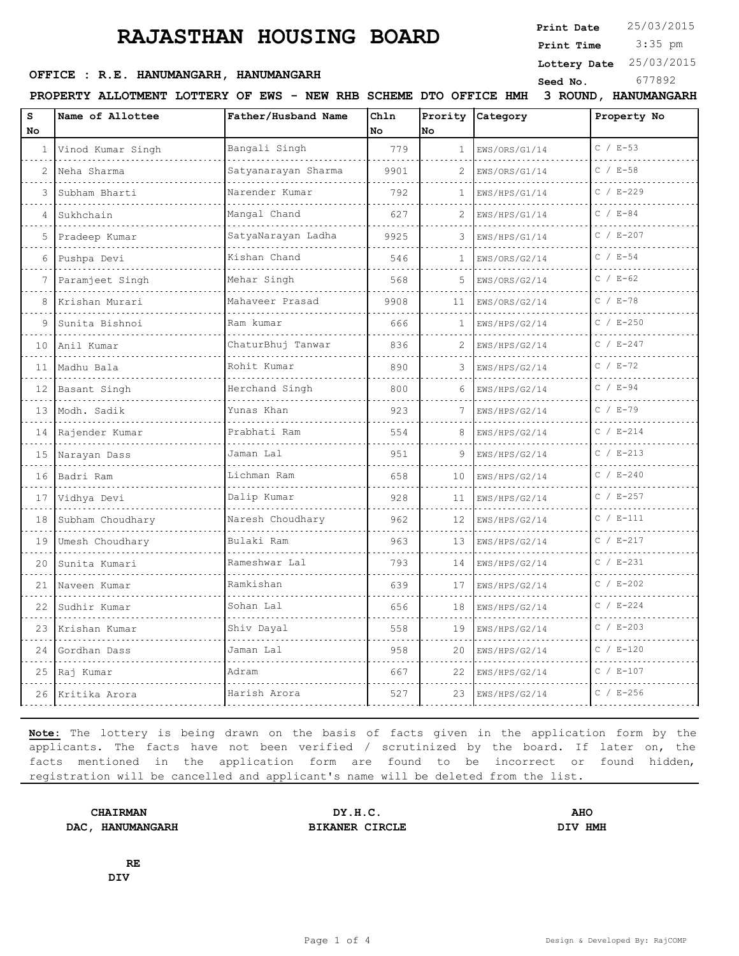## **RAJASTHAN HOUSING BOARD**

**Print Date**  $25/03/2015$ 

 3:35 pm **Print Time**

**Lottery Date** 25/03/2015

### **OFFICE : R.E. HANUMANGARH, HANUMANGARH** Seed No. 677892

**PROPERTY ALLOTMENT LOTTERY OF EWS - NEW RHB SCHEME DTO OFFICE HMH 3 ROUND, HANUMANGARH**

| s<br>No. | Name of Allottee      | Father/Husband Name   | Chln<br>No | Prority<br><b>No</b> | Category           | Property No   |
|----------|-----------------------|-----------------------|------------|----------------------|--------------------|---------------|
| 1        | Vinod Kumar Singh     | Bangali Singh<br>.    | 779        | $\mathbf{1}$         | EWS/ORS/G1/14<br>. | $C / E-53$    |
| 2        | Neha Sharma           | Satyanarayan Sharma   | 9901       | 2                    | EWS/ORS/G1/14      | $C / E - 58$  |
| ς        | Subham Bharti         | Narender Kumar        | 792        | $\mathbf{1}$         | EWS/HPS/G1/14      | $C / E - 229$ |
| 4        | Sukhchain             | Mangal Chand<br>.     | 627        | 2                    | EWS/HPS/G1/14      | $C / E - 84$  |
| 5        | Pradeep Kumar         | SatyaNarayan Ladha    | 9925       | 3                    | EWS/HPS/G1/14      | $C / E - 207$ |
| 6        | Pushpa Devi           | Kishan Chand          | 546        | $\mathbf{1}$         | EWS/ORS/G2/14      | $C / E - 54$  |
|          | Paramjeet Singh       | Mehar Singh           | 568        | 5.                   | EWS/ORS/G2/14      | $C / E - 62$  |
| 8        | Krishan Murari        | Mahaveer Prasad       | 9908       | 11                   | EWS/ORS/G2/14      | $C / E - 78$  |
| 9        | Sunita Bishnoi        | Ram kumar             | 666        | $\mathbf{1}$         | EWS/HPS/G2/14      | $C / E - 250$ |
| 10       | Anil Kumar            | ChaturBhuj Tanwar     | 836        | 2                    | EWS/HPS/G2/14      | $C / E - 247$ |
| 11       | Madhu Bala            | Rohit Kumar           | 890        | 3                    | EWS/HPS/G2/14      | $C / E - 72$  |
| 12       | Basant Singh          | Herchand Singh        | 800        | 6                    | EWS/HPS/G2/14      | $C / E - 94$  |
| 13       | Modh. Sadik           | Yunas Khan            | 923        |                      | EWS/HPS/G2/14      | $C / E - 79$  |
| 14       | Rajender Kumar        | Prabhati Ram          | 554        | 8                    | EWS/HPS/G2/14      | $C / E - 214$ |
| 15       | Narayan Dass          | Jaman Lal             | 951        | 9                    | EWS/HPS/G2/14      | $C / E - 213$ |
| 16       | Badri Ram             | Lichman Ram           | 658        | 10                   | EWS/HPS/G2/14      | $C / E - 240$ |
| 17       | Vidhya Devi           | Dalip Kumar           | 928        | 11                   | EWS/HPS/G2/14      | $C / E - 257$ |
| 18       | Subham Choudhary<br>. | Naresh Choudhary<br>. | 962        | 12                   | EWS/HPS/G2/14      | $C / E-111$   |
| 19       | Umesh Choudhary       | Bulaki Ram            | 963        | 13                   | EWS/HPS/G2/14      | $C / E - 217$ |
| 20       | Sunita Kumari         | Rameshwar Lal         | 793        | 14                   | EWS/HPS/G2/14      | $C / E - 231$ |
| 21       | Naveen Kumar          | Ramkishan             | 639        | 17                   | EWS/HPS/G2/14      | $C / E - 202$ |
| 22       | Sudhir Kumar          | Sohan Lal             | 656        | 18                   | EWS/HPS/G2/14      | $C / E - 224$ |
| 23       | Krishan Kumar         | Shiv Dayal            | 558        | 19                   | EWS/HPS/G2/14      | $C / E - 203$ |
| 24       | Gordhan Dass          | Jaman Lal             | 958        | 20                   | EWS/HPS/G2/14      | $C / E - 120$ |
|          | 25 Raj Kumar          | Adram                 | 667        | 22                   | EWS/HPS/G2/14      | $C / E - 107$ |
|          | 26 Kritika Arora      | Harish Arora          | 527        | 23                   | EWS/HPS/G2/14      | $C / E - 256$ |

**Note:** The lottery is being drawn on the basis of facts given in the application form by the applicants. The facts have not been verified / scrutinized by the board. If later on, the facts mentioned in the application form are found to be incorrect or found hidden, registration will be cancelled and applicant's name will be deleted from the list.

**DAC, HANUMANGARH BIKANER CIRCLE DIV HMH**

**CHAIRMAN DY.H.C. AHO**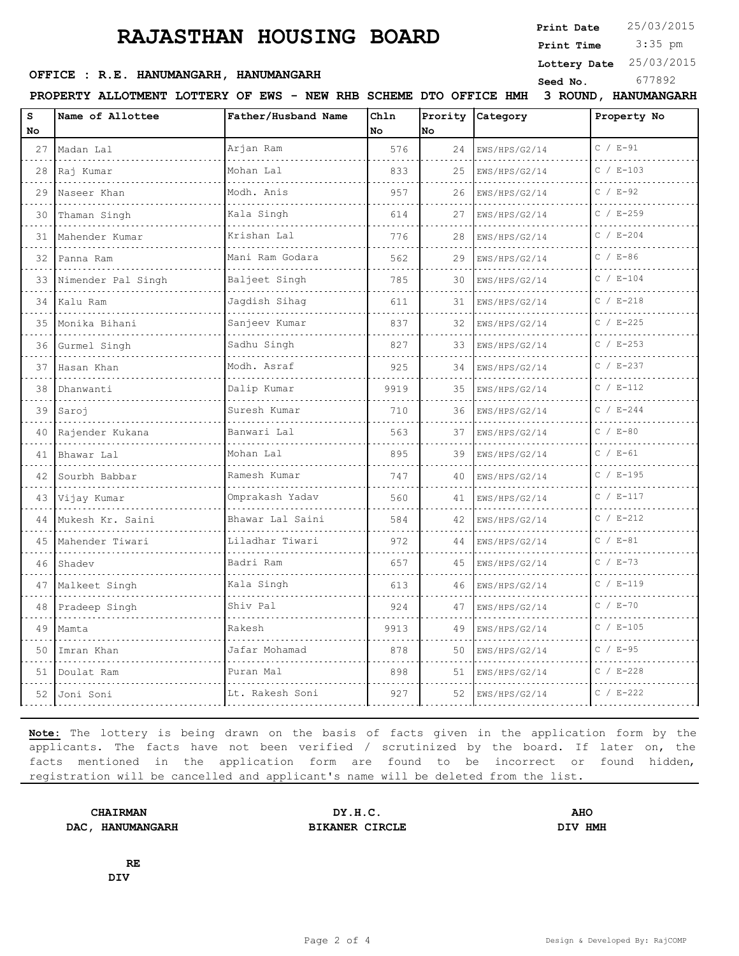# **RAJASTHAN HOUSING BOARD**

**Print Date**  $25/03/2015$ 

 3:35 pm **Print Time**

**Lottery Date** 25/03/2015

#### **OFFICE : R.E. HANUMANGARH, HANUMANGARH**<br>
Seed No. 677892

**PROPERTY ALLOTMENT LOTTERY OF EWS - NEW RHB SCHEME DTO OFFICE HMH 3 ROUND, HANUMANGARH**

|         |                    | NEW AID              | סוח שמע    |               | OFFICE TELL        | S ROOND, ILANOMANGANI |
|---------|--------------------|----------------------|------------|---------------|--------------------|-----------------------|
| s<br>No | Name of Allottee   | Father/Husband Name  | Chln<br>No | Prority<br>No | Category           | Property No           |
| 27      | Madan Lal          | Arjan Ram            | 576        | 24            | EWS/HPS/G2/14      | $C / E-91$            |
| 28      | Raj Kumar          | Mohan Lal            | 833        | 25            | EWS/HPS/G2/14      | $C / E - 103$         |
| 29      | Naseer Khan        | Modh. Anis           | 957        | 26            | EWS/HPS/G2/14      | $C / E - 92$          |
| 30      | .<br>Thaman Singh  | .<br>Kala Singh      | 614        | 27            | EWS/HPS/G2/14      | $C / E - 259$         |
| 31      | Mahender Kumar     | Krishan Lal          | 776        | 28            | EWS/HPS/G2/14      | $C / E - 204$         |
| 32      | Panna Ram<br>.     | Mani Ram Godara<br>. | 562        | 29            | EWS/HPS/G2/14<br>. | $C / E-86$            |
| 33      | Nimender Pal Singh | Baljeet Singh        | 785        | 30            | EWS/HPS/G2/14      | $C / E - 104$         |
| 34      | Kalu Ram           | Jagdish Sihag        | 611        | 31            | EWS/HPS/G2/14      | $C / E - 218$         |
| 35      | Monika Bihani      | Sanjeev Kumar        | 837        | 32            | EWS/HPS/G2/14      | $C / E - 225$         |
| 36      | Gurmel Singh       | Sadhu Singh          | 827        | 33            | EWS/HPS/G2/14      | $C / E - 253$         |
| 37      | Hasan Khan         | Modh. Asraf          | 925        | 34            | EWS/HPS/G2/14      | $C / E - 237$         |
| 38      | Dhanwanti          | Dalip Kumar          | 9919       | 35            | EWS/HPS/G2/14      | $C / E-112$           |
| 39      | Saroj              | Suresh Kumar         | 710        | 36            | EWS/HPS/G2/14      | $C / E - 244$         |
| 40      | Rajender Kukana    | Banwari Lal          | 563        | 37            | EWS/HPS/G2/14      | $C / E - 80$          |
| 41      | Bhawar Lal         | Mohan Lal            | 895        | 39            | EWS/HPS/G2/14      | $C / E - 61$          |
| 42      | Sourbh Babbar      | Ramesh Kumar         | 747        | 40            | EWS/HPS/G2/14      | $C / E - 195$         |
| 43      | Vijay Kumar        | Omprakash Yadav      | 560        | 41            | EWS/HPS/G2/14      | $C / E - 117$         |
| 44      | Mukesh Kr. Saini   | Bhawar Lal Saini     | 584        | 42            | EWS/HPS/G2/14      | $C / E - 212$         |
| 45      | Mahender Tiwari    | Liladhar Tiwari      | 972        | 44            | EWS/HPS/G2/14      | $C / E - 81$          |
| 46      | Shadev             | Badri Ram            | 657        | 45            | EWS/HPS/G2/14      | $C / E - 73$          |
| 47      | Malkeet Singh      | Kala Singh           | 613        | 46            | EWS/HPS/G2/14      | $C / E-119$           |
| 48      | Pradeep Singh      | Shiv Pal             | 924        | 47            | EWS/HPS/G2/14      | $C / E - 70$          |
| 49      | Mamta              | Rakesh               | 9913       | 49            | EWS/HPS/G2/14      | $C / E - 105$         |
| 50      | Imran Khan         | Jafar Mohamad        | 878        | 50            | EWS/HPS/G2/14      | $C / E - 95$          |
| 51      | Doulat Ram         | Puran Mal            | 898        | 51            | EWS/HPS/G2/14      | $C / E - 228$         |
| 52      | Joni Soni          | Lt. Rakesh Soni      | 927        | 52            | EWS/HPS/G2/14      | $C / E - 222$         |
|         |                    |                      |            |               |                    |                       |

**Note:** The lottery is being drawn on the basis of facts given in the application form by the applicants. The facts have not been verified / scrutinized by the board. If later on, the facts mentioned in the application form are found to be incorrect or found hidden, registration will be cancelled and applicant's name will be deleted from the list.

**DAC, HANUMANGARH BIKANER CIRCLE DIV HMH**

**CHAIRMAN DY.H.C. AHO**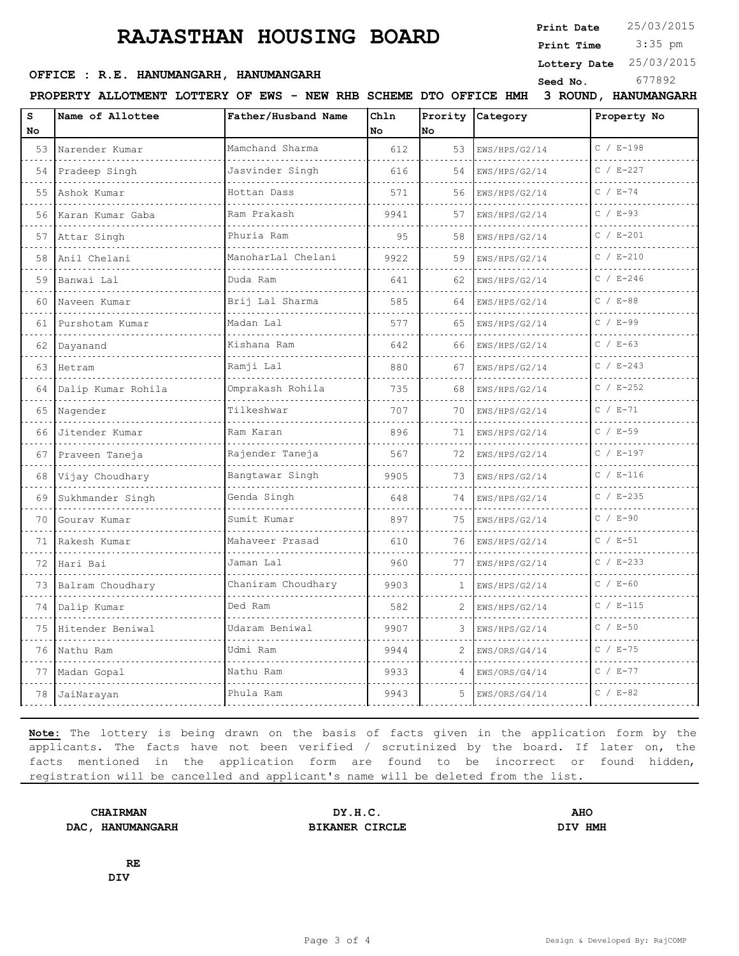## **RAJASTHAN HOUSING BOARD**

**Print Date**  $25/03/2015$ 

 3:35 pm **Print Time**

#### **Lottery Date** 25/03/2015

#### **Seed No.** 677892 **OFFICE : R.E. HANUMANGARH, HANUMANGARH**

| s   | PROPERTY ALLOTMENT LOTTERY OF EWS - NEW RHB SCHEME DTO OFFICE HMH 3 ROUND, HANUMANGARH |                              | Chln |                |               |               |
|-----|----------------------------------------------------------------------------------------|------------------------------|------|----------------|---------------|---------------|
| No. | Name of Allottee                                                                       | Father/Husband Name          | l No | Prority<br>lno | Category      | Property No   |
|     | 53 Narender Kumar                                                                      | Mamchand Sharma              | 612  | 53             | EWS/HPS/G2/14 | $C / E - 198$ |
|     | 54 Pradeep Singh                                                                       | Jasvinder Singh              | 616  | 54             | EWS/HPS/G2/14 | $C / E - 227$ |
| 55  | Ashok Kumar<br>.                                                                       | Hottan Dass<br>.             | 571  | 56             | EWS/HPS/G2/14 | $C / E - 74$  |
|     | 56 Karan Kumar Gaba                                                                    | Ram Prakash                  | 9941 | 57             | EWS/HPS/G2/14 | $C / E - 93$  |
| 57  | Attar Singh                                                                            | Phuria Ram                   | 9.5  | 58             | EWS/HPS/G2/14 | $C / E - 201$ |
| 58  | Anil Chelani                                                                           | ManoharLal Chelani           | 9922 | 59             | EWS/HPS/G2/14 | $C / E - 210$ |
| 59  | Banwai Lal                                                                             | Duda Ram<br>.                | 641  | 62             | EWS/HPS/G2/14 | $C / E - 246$ |
| 60  | Naveen Kumar                                                                           | Brij Lal Sharma              | 585  | 64             | EWS/HPS/G2/14 | $C / E - 88$  |
|     | 61 Purshotam Kumar                                                                     | Madan Lal                    | 577  | 65             | EWS/HPS/G2/14 | $C / E - 99$  |
| 62  | Dayanand                                                                               | Kishana Ram                  | 642  | 66             | EWS/HPS/G2/14 | $C / E - 63$  |
| 63  | <b>Hetram</b>                                                                          | Ramji Lal<br>dia dia dia dia | 880  | 67             | EWS/HPS/G2/14 | $C / E - 243$ |
|     | 64 Dalip Kumar Rohila                                                                  | Omprakash Rohila             | 735  | 68             | EWS/HPS/G2/14 | $C / E - 252$ |
| 65  | Nagender                                                                               | Tilkeshwar                   | 707  | 70             | EWS/HPS/G2/14 | $C / E - 71$  |
| 66  | Jitender Kumar                                                                         | Ram Karan<br>.               | 896  | 71             | EWS/HPS/G2/14 | $C / E-59$    |
|     | 67 Praveen Taneja                                                                      | Rajender Taneja              | 567  | 72             | EWS/HPS/G2/14 | $C / E - 197$ |
| 68  | Vijay Choudhary                                                                        | Bangtawar Singh              | 9905 | 73             | EWS/HPS/G2/14 | $C / E - 116$ |
| 69  | Sukhmander Singh                                                                       | Genda Singh                  | 648  | 74             | EWS/HPS/G2/14 | $C / E - 235$ |
| 70  | Gourav Kumar                                                                           | Sumit Kumar                  | 897  | 75             | EWS/HPS/G2/14 | $C / E - 90$  |
| 71  | Rakesh Kumar                                                                           | Mahaveer Prasad              | 610  | 76             | EWS/HPS/G2/14 | $C / E-51$    |
|     | 72  Hari Bai<br>.                                                                      | Jaman Lal                    | 960  | 77             | EWS/HPS/G2/14 | $C / E - 233$ |
| 73  | Balram Choudhary                                                                       | Chaniram Choudhary<br>.      | 9903 | $\mathbf{1}$   | EWS/HPS/G2/14 | $C / E - 60$  |
| 74  | Dalip Kumar                                                                            | Ded Ram                      | 582  | 2              | EWS/HPS/G2/14 | $C / E - 115$ |
|     | 75 Hitender Beniwal                                                                    | Udaram Beniwal               | 9907 | 3              | EWS/HPS/G2/14 | $C / E - 50$  |
|     | 76 Nathu Ram                                                                           | Udmi Ram                     | 9944 | $\overline{2}$ | EWS/ORS/G4/14 | $C / E - 75$  |
| 77  | Madan Gopal                                                                            | Nathu Ram                    | 9933 | 4              | EWS/ORS/G4/14 | $C / E - 77$  |
|     | 78 JaiNarayan                                                                          | Phula Ram                    | 9943 | 5              | EWS/ORS/G4/14 | $C / E - 82$  |
|     |                                                                                        |                              |      |                |               |               |

**Note:** The lottery is being drawn on the basis of facts given in the application form by the applicants. The facts have not been verified / scrutinized by the board. If later on, the facts mentioned in the application form are found to be incorrect or found hidden, registration will be cancelled and applicant's name will be deleted from the list.

**DAC, HANUMANGARH BIKANER CIRCLE DIV HMH**

**CHAIRMAN DY.H.C. AHO**